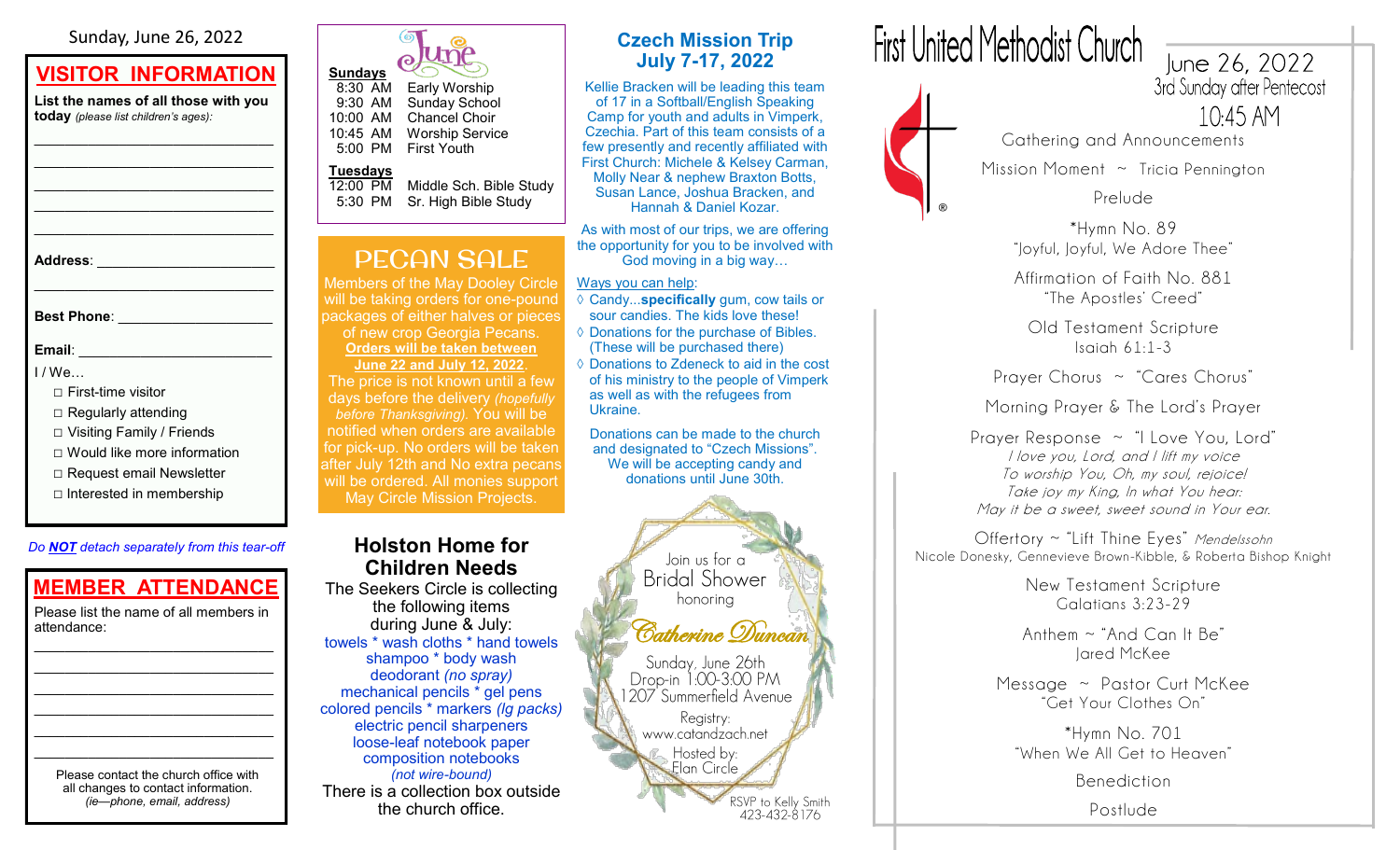#### Sunday, June 26, 2022

## **VISITOR INFORMATION**

**List the names of all those with you today** *(please list children's ages):*

\_\_\_\_\_\_\_\_\_\_\_\_\_\_\_\_\_\_\_\_\_\_\_\_\_\_\_\_\_\_\_ \_\_\_\_\_\_\_\_\_\_\_\_\_\_\_\_\_\_\_\_\_\_\_\_\_\_\_\_\_\_\_ \_\_\_\_\_\_\_\_\_\_\_\_\_\_\_\_\_\_\_\_\_\_\_\_\_\_\_\_\_\_\_ \_\_\_\_\_\_\_\_\_\_\_\_\_\_\_\_\_\_\_\_\_\_\_\_\_\_\_\_\_\_\_ \_\_\_\_\_\_\_\_\_\_\_\_\_\_\_\_\_\_\_\_\_\_\_\_\_\_\_\_\_\_\_

**Address**: \_\_\_\_\_\_\_\_\_\_\_\_\_\_\_\_\_\_\_\_\_\_\_

**Best Phone**: \_\_\_\_\_\_\_\_\_\_\_\_\_\_\_\_\_\_\_\_

**Email**: **Email**: **All and the set of the set of the set of the set of the set of the set of the set of the set of the set of the set of the set of the set of the set of the set of the set of the set of the set of the set** 

 $I/We$ 

□ First-time visitor

□ Regularly attending

□ Visiting Family / Friends

- $\Box$  Would like more information
- □ Request email Newsletter
- □ Interested in membership

*Do NOT detach separately from this tear-off*

## **MEMBER ATTENDANCE**

Please list the name of all members in attendance: \_\_\_\_\_\_\_\_\_\_\_\_\_\_\_\_\_\_\_\_\_\_\_\_\_\_\_\_\_\_\_

\_\_\_\_\_\_\_\_\_\_\_\_\_\_\_\_\_\_\_\_\_\_\_\_\_\_\_\_\_\_\_ \_\_\_\_\_\_\_\_\_\_\_\_\_\_\_\_\_\_\_\_\_\_\_\_\_\_\_\_\_\_\_

Please contact the church office with all changes to contact information. *(ie—phone, email, address)*

\_\_\_\_\_\_\_\_\_\_\_\_\_\_\_\_\_\_\_\_\_\_\_\_\_\_\_\_\_\_\_



**Sundays**<br>8:30 AM Early Worship 9:30 AM Sunday School<br>10:00 AM Chancel Choir Chancel Choir 10:45 AM Worship Service **First Youth** 

#### **Tuesdays**

12:00 PM Middle Sch. Bible Study<br>5:30 PM Sr. High Bible Study Sr. High Bible Study

## PECAN SALE

Members of the May Dooley Circle will be taking orders for one-pound packages of either halves or pieces of new crop Georgia Pecans. **Orders will be taken between June 22 and July 12, 2022**. The price is not known until a few days before the delivery *(hopefully before Thanksgiving).* You will be notified when orders are available for pick-up. No orders will be taken after July 12th and No extra pecans will be ordered. All monies support May Circle Mission Projects.

#### **Holston Home for Children Needs**

The Seekers Circle is collecting the following items during June & July: towels \* wash cloths \* hand towels shampoo \* body wash deodorant *(no spray)* mechanical pencils \* gel pens colored pencils \* markers *(lg packs)* electric pencil sharpeners loose-leaf notebook paper composition notebooks *(not wire-bound)* There is a collection box outside the church office.

## **Czech Mission Trip July 7-17, 2022**

Kellie Bracken will be leading this team of 17 in a Softball/English Speaking Camp for youth and adults in Vimperk, Czechia. Part of this team consists of a few presently and recently affiliated with First Church: Michele & Kelsey Carman, Molly Near & nephew Braxton Botts, Susan Lance, Joshua Bracken, and Hannah & Daniel Kozar.

As with most of our trips, we are offering the opportunity for you to be involved with God moving in a big way…

#### Ways you can help:

 Candy...**specifically** gum, cow tails or sour candies. The kids love these! ♦ Donations for the purchase of Bibles. (These will be purchased there)

 Donations to Zdeneck to aid in the cost of his ministry to the people of Vimperk as well as with the refugees from Ukraine.

Donations can be made to the church and designated to "Czech Missions". We will be accepting candy and donations until June 30th.



# **First United Methodist Church**



June 26, 2022 3rd Sunday after Pentecost  $10.45$  AM

Gathering and Announcements Mission Moment ~ Tricia Pennington

Prelude

\*Hymn No. 89 "Joyful, Joyful, We Adore Thee"

Affirmation of Faith No. 881 "The Apostles' Creed"

Old Testament Scripture Isaiah 61:1-3

Prayer Chorus ~ "Cares Chorus"

Morning Prayer & The Lord's Prayer

Prayer Response ~ "I Love You, Lord" I love you, Lord, and I lift my voice To worship You, Oh, my soul, rejoice! Take joy my King, In what You hear: May it be a sweet, sweet sound in Your ear.

Offertory ~ "Lift Thine Eyes" Mendelssohn Nicole Donesky, Gennevieve Brown -Kibble, & Roberta Bishop Knight

> New Testament Scripture Galatians 3:23-29

Anthem ~ "And Can It Be" Jared McKee

Message ~ Pastor Curt McKee "Get Your Clothes On"

\*Hymn No. 701 "When We All Get to Heaven"

Benediction

Postlude